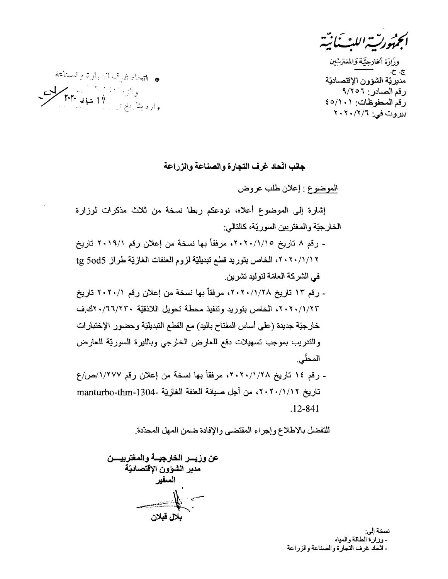م<del>و</del>رت اللث بانت

وزَارَة الخارجيَّة وَالمغتربِّين ご ご \_<br>مديريّة الشؤون الإقتصاديّة رقم الصادر : ٩/٢٥٦ رقم المحفوظات: ٤٥/١٠١ بیروت في: ٢٠٢٠/٢/٢

ه التعادي إنما السيارة والسناعة و ناز استفاده است.<br>وارد بناریخ : پس الله عهاد ۲۰۳۰

جانب اتّحاد غرف النجارة والصناعة والزراعة

الموضوع : إعلان طلب عروض

إشارة إلى الموضوع أعلاه، نودعكم ربطا نسخة من ثلاث مذكرات لوزارة الخارجيّة والمغتربين السوريّة، كالتالي:

- رقم ٨ تاريخ ٢٠٢٠/١/١٥، مرفقاً بها نسخة من إعلان رقم ٢٠١٩/١ تاريخ ٢٠/١/١٢ ، الخاص بتوريد قطع تبديليّة لزوم العنفات الغازيّة طراز tg 5od5 في الشركة العامّة لتوليد تشر بن.
- رقم ١٣ تاريخ ٢٠٢٠/١/٢٨، مرفقاً بها نسخة من إعلان رقم ٢٠٢٠/١ تاريخ ٢٠٢٠/١/٢٣، الخاص بتوريد وتنفيذ محطة تحويل اللاذقيّة ٢٣٠/٦٦/٢٣٠؛ الدِّف خارجيّة جديدة (على أساس المفتاح باليد) مع القطع التبديليّة وحضور الإختبارات والتدريب بموجب تسهيلات دفع للعارض الخارجي وبالليرة السورتية للعارض المحلّى.
- رقع ١٤ تاريخ ٢٠٢٠/١/٢٨، مرفقاً بها نسخة من إعلان رقع ١/٢٧٧/ص/ع تاريخ ٢٠/١/١٢، من أجل صيانة العنفة الغازيّة -manturbo-thm-1304  $.12 - 841$

للتفضل بالاطلاع وإجراء المقتضيي والإفادة ضمن المهل المحذدة.

عن وزيسر الخارجيسة والمغتربيسن مدير الشوون الإقتصاديّة السفير يلا، قىلان

نسخة إلى: - وزارة الطاقة والمياه - اتّحاد غرف التجارة والصناعة والزراعة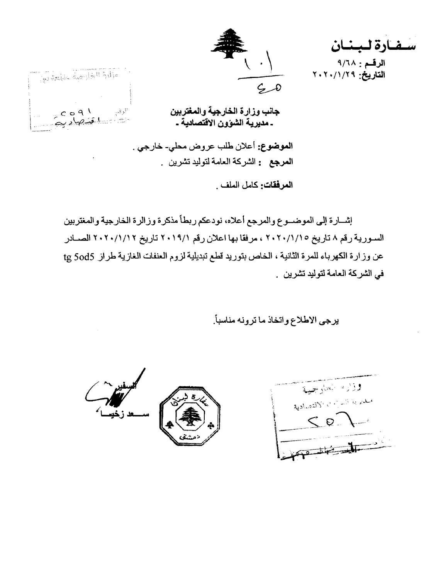سفارة لبنان الرقم: ٩/٦٨ التاريخ: ٢٠/١/٢٩



 $C_0$  o 9  $\sqrt{ }$  $v_{\mathcal{L}}$ لوننې الشاسليقيكاديي

ON BRAIN AND HEATH

جانب وزارة الخارجية والمغتربين ـ مديرية الشؤون الاقتصادية ـ

الموضوع: أعلان طلب عروض محلي- خارجي . ا**لمرجع :** الشركة العامة لتوليد تشرين .

العرفقات: كامل الملف

إشارة إلى الموضـوع والمرجع أعلاه، نودعكم ربطاً مذكرة وزالرة الخارجية والمغتربين السورية رقم ٨ تاريخ ١/١/١٠/١/١٠ ، مرفقا بها اعلان رقم ٢٠١٩/١ تاريخ ٢٠١/١/١٢ الصــادر عن وزارة الكهرباء للمرة الثانية ، الخاص بتوريد قطع تبديلية لزوم العنفات الغازية طراز tg 5od5 في الشركة العامة لتوليد تشرين .

يرجى الاطلاع واتخاذ ما ترونه مناسباً.

وزاره العارجية مبديرية السراب الاقتصادية  $< 8 -$ 

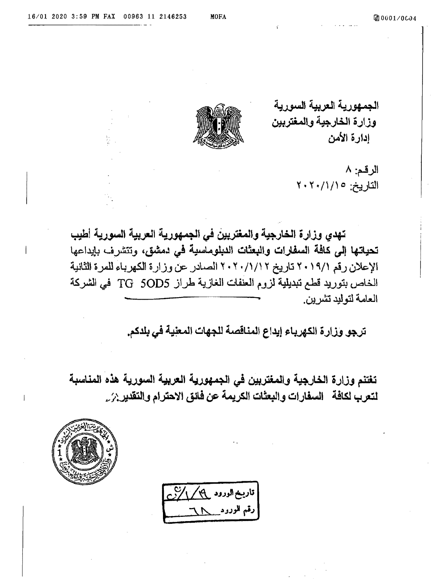الجمهورية العربية السورية وزارة الخارجية والمغتربين ادارة الأمن



الرقم: ٨ التاريخ: ١/١/١٠٢٠٢

تهدى وزارة الخارجية والمغتربين في الجمهورية العربية السورية أطبب تحياتها إلى كافة السفارات والبعثات الدبلوماسية في دمشق، وتتشرف بإيداعها الإعلان رقم ٢٠١٩/١ تاريخ ٢٠/١/١٢ ٢٠٢ الصادر عن وزارة الكهرباء للمرة الثانية الخاص بتوريد قطع تبديلية لزوم العنفات الغازية طراز TG 5OD5 في الشركة العامة لتوليد تشرين

ترجو وزارة الكهرباء إيداع المنافصة للجهات المعلية في بلدكم.

تغتنم وزارة الخارجية والمغتربين في الجمهورية العربية السورية هذه المناسبة لتعرب لكافة السفارات والبعثات الكريمة عن فائق الاحترام والتقدير بز ِ ِ



قاریخ الورود <sub>م</sub>مکر *پارا*نخ دقم المودود سلمل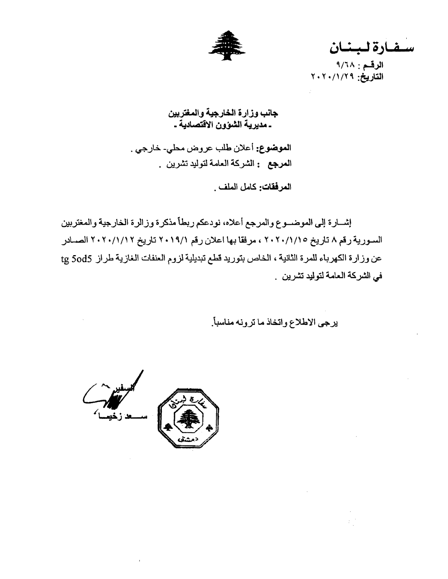

سفارة لبنان

الرقم: ٩/٦٨ التاريخ: ٢٠٢٠/١/٢٩

جانب وزارة الخارجية والمغتربين ـ مديرية الشؤون الاقتصادية ـ

الموضوع: أعلان طلب عروض محلي- خارجي . ا**لمرجع :** الشركة العامة لتوليد تشرين .

المرفقات: كامل الملف .

إشارة إلى الموضوع والمرجع أعلاه، نودعكم ربطاً مذكرة وزالرة الخارجية والمغتربين السورية رقم ٨ تاريخ ١/ ١/ ٢٠٢٠ ، مرفقا بها اعلان رقم ٢٠١٩/١ تاريخ ٢٠١/١/١٢ الصـادر عن وزارة الكهرباء للمرة الثانية ، الخاص بتوريد قطع تبديلية لزوم العنفات الغازية طراز tg 5od5 في الشركة العامة لتوليد تشرين .

يرجى الاطلاع واتخاذ ما ترونه مناسباً.



 $\sim 40$  km  $^{-1}$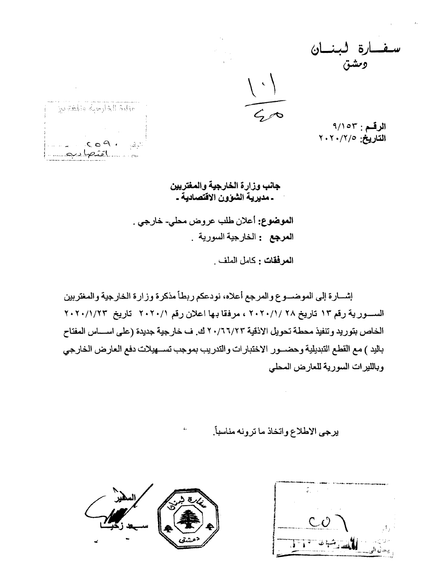الرقم: ٩/١٥٣ التاريخ: ٢٠٢٠/٢٠٧

والمقارحية والمعقوبين  $\mathbb{E}_{\mathbb{E}_{\mathbb{E}_{\mathbb{E}_{\mathbb{E}_{\mathbb{E}_{\mathbb{E}_{\mathbb{E}}}}}}\mathbb{E}_{\mathbb{E}_{\mathbb{E}_{\mathbb{E}}}}\mathbb{E}_{\mathbb{E}_{\mathbb{E}_{\mathbb{E}}}}\mathbb{E}_{\mathbb{E}_{\mathbb{E}_{\mathbb{E}}}}\mathbb{E}_{\mathbb{E}_{\mathbb{E}_{\mathbb{E}}}}\mathbb{E}_{\mathbb{E}_{\mathbb{E}_{\mathbb{E}}}}\mathbb{E}_{\mathbb{E}_{\mathbb{E}_{\mathbb{E}}}}\mathbb{E}_{\mathbb{E}_{\mathbb{E}}}\math$  $\sim$ 

> جانب وزارة الخارجية والمغتربين ـ مديرية الشوون الاقتصادية ـ

الموضوع: أعلان طلب عروض محلي- خارجي . ا**لمرجع :** الخارجية السورية .

ا**لمرفقات :** كامل الملف .

إشسارة إلىي الموضسوع والمرجع أعلاه، نودعكم ربطأ مذكرة وزارة الخارجية والمغتربين السسورية رقم ١٣ تاريخ ٢٠٢٠/١/ ٢٠٢٠/١/ مرفقا بها اعلان رقم ٢٠٢٠/١/ تاريخ ٢٠٢٠/١/٢٣ الخاص بتوريد وتنفيذ محطة تحويل الاذقية ٢٠/٦٦/٢٣ ك. ف خارجية جديدة (على اسساس المفتاح باليد ) مع القطع التبديلية وحضـــور الاختبار ات والتدريب بموجب تســـهيلات دفع العارض الخارجي وبالليرات السورية للعارض المحلى

يرجى الاطلاع واتخاذ ما ترونه مناسباً.



TIT SHIELL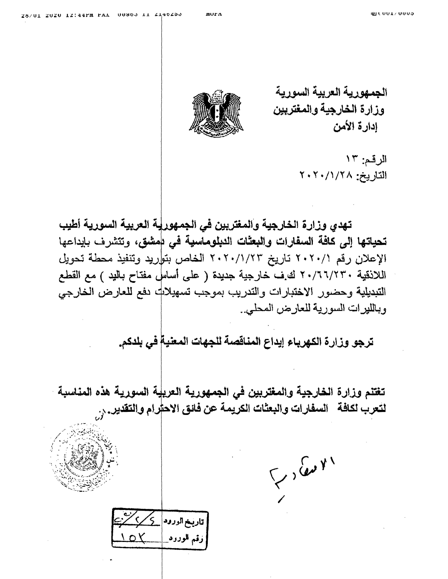mur A

الجمهورية العريبة السورية وزارة الخارجية والمغتربين ادارة الأمن



الرقم: ١٣ التاريخ: ٢٠٢٠/١/٢٠٢

تهدي وزارة الخارجية والمغتربين في الجمهورلية العربية السورية أطيب تحياتها إلى كافة السفارات والبعثات الدبلوماسية في بهشق، وتتشرف بإيداعها الإعلان رقم ٢٠٢٠/١/ تاريخ ٢٠٢٠/١/٢٣ الخاص بتواريد وتنفيذ محطة تحويل اللاذقية ٢٠/٦٦/٢٣٠ لك ف خارجية جديدة ( على أساسٍ مفتاح باليد ) مع القطع التبديلية وحضور الاختبارات والتدريب بموجب تسهيلاك دفع للعارض الخارجي وبالليرات السورية للعارض المحلي.

ترجو وزارة الكهرباء إيداع المناقصة للجهات المعنية في بلدكم.

تغتنم وزارة الخارجية والمغتربين في الجمهورية العريلة السورية هذه المناسبة لتعرب لكافة – السفارات والبعثات الكريمة عن فانق الاحترام والتقدير , , ,

 $\sqrt{2}$ 

<mark>| تاریخ الورود</mark> <mark>کے ک</mark> زقم الوزود  $\bigcup_{\mathcal{C}}$  ) ر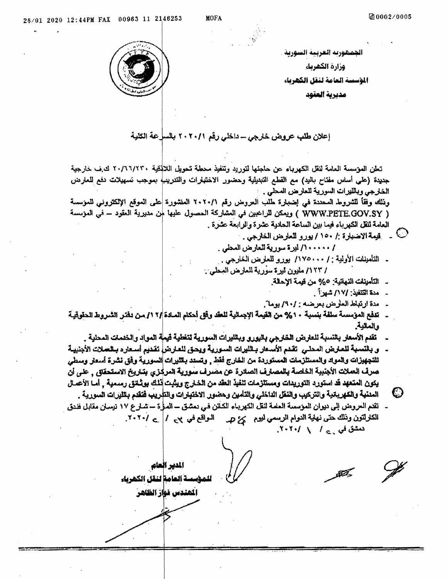الجمهوريه العربية السورية . وزارة الكشربك الوسسة العامة لنقل الكهرباء

مديرية العقود



إعلان طلب عروض خارجي - داخلي رڤم ٢٠٢٠/١ بالسلءة الكلبة

تعلن الموسسة العامة لنقل الكهرباء عن حاجتها لتوريد وتنفيذ محطة تحويل اللالذقية ٢٠/٦٦/٢٣٠ ك.ف خارجية جديدة (علمي أساس مفتاح باليد) مع القطع التبديلية وحضور الاختبارات والتدريب! بموجب تسهيلات دفع للعارض الخارجي وبالليرات السورية للعارص المحلي .

ونْلِكَ وَفَقَأَ لَلْشَروط الْمَحْدَةِ في اِضْبِلَرة طُلْبَ الْعَروض رقم ٢٠٢٠/١ الْمَنْشُورة عِلَى العوقع الإلكتروني للمؤسسة ( WWW.PETE.GOV.SY ) ويمكن للراغبين في العشاركة الحصول عليها لهن مدبرية العقود – في العزمسة العامة للقل الكهرباء فيما بين الساعة الحادية عشرة والرابعة عشرة .

- س قيمة الاضبارة :/ ١٥٠ / يورو للعارض الخارجي .  $\mathbb O$
- / ١٠٠٠٠٠/ ليرة سورية للعارض المحلي . ـ التأمينات الأولية : / ١٧٥٠٠٠/ يورو للعارض الخارجي .
- / ١٢٣/ مليون ليرة سورية للمارض المعلى .
	- التأمينات النهاتية: 0% من قيمة الإحلة.
		- مدة التنفيذ: /١٧/ شهر: أ
	- مدة ارتباط العلوض بعرضه : /٩٠/ بوما".
- \_ تدفع الموسسة سلفة بنسبة ٢٠% من القيمة الإجمالية للعقد وفق أحكام المـلاة|/٢ ١/ مـن دفتر. الشروط الحقوقية والعالية
	- ـ تقدم الأسعلر بالتسبة للعارض الخارجي باليورو وبالليرات السورية لتغلية فيملة المواد والخدمات المحلية .
- . و بالنسبة للعارض المحلـى اتقدم الأسعار بـالليرات السـورية ويحـق للعـارض| تقديم أسـعاره بـالحـلات الأجنبيـة للتجهزات والمواد والمستلزمات المستوردة من الخارج فقط , وتسدد باللبرات السورية وفق نشرة أسعار وسطى صرف العملات الأجنبية الخاصة بالمصارف الصائرة عن مصرف سورية المركزي بتاريخ الاستحقاق , على أن يكون العنعهد قد استورد التوريدات ومستلزمات تنفيذ العقد من الخارج ويثبت أذلك بوشانق رسمية \_ أمـا الأعمـال
- O المنتية والكهرباتية والتركيب والنقل الداخلي والتأمين وحضور الاختيارات والتأريب فتقدم بالليرات السورية . ـ تقدم العروض إلى ديوان المؤسسة العلمة لنقل الكهرياء الكاتن فـي دمشق ـــ المـرأة ـــ شــار ع ١٧ نيسان مقابل فندق الكلرلتون وذلك حتى نهاية الدوام الرسمي ليوم كمز ص الـواقع في ٢، ٢ ] [ \_ / ٢٠٢٠. دمشق في <sub>د ۲</sub>۰۲۰/۰ / ۲۰۲۰/

الدير العام للمؤسسة العامة لنقل الكشرباء

المندس نواز الظاهر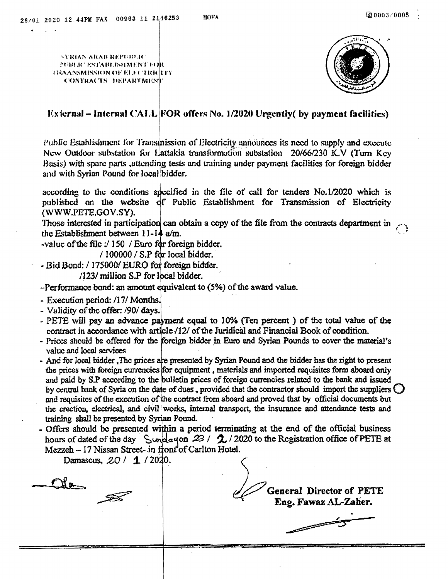**SYRIAN ARAB REPUBLIC** FURLIC ESTABLISHMENT FOR TRAANSMISSION OF ELECTRICITY **CONTRACTS DEPARTMENT** 



## External – Internal CALL FOR offers No. 1/2020 Urgently( by payment facilities)

Public Establishment for Transmission of Electricity announces its need to supply and execute New Outdoor substation for Lattakia transformation substation 20/66/230 K.V (Turn Key Basis) with spare parts , attending tests and training under payment facilities for foreign bidder and with Syrian Pound for local bidder.

according to the conditions specified in the file of call for tenders No.1/2020 which is published on the website of Public Establishment for Transmission of Electricity (WWW.PETE.GOV.SY).

Those interested in participation can obtain a copy of the file from the contracts department in the Establishment between 11-14 a/m.

-value of the file :/ 150 / Euro for foreign bidder.

/ 100000 / S.P for local bidder.

- Bid Bond: / 175000/ EURO for foreign bidder.

/123/ million S.P for local bidder.

 $-$ Performance bond: an amount equivalent to (5%) of the award value.

- Execution period: /17/ Months.
- Validity of the offer: /90/ days.
- PETE will pay an advance payment equal to 10% (Ten percent) of the total value of the contract in accordance with article/12/ of the Juridical and Financial Book of condition.
- Prices should be offered for the foreign bidder in Euro and Syrian Pounds to cover the material's value and local services
- And for local bidder, The prices are presented by Syrian Pound and the bidder has the right to present the prices with foreign currencies for equipment, materials and imported requisites form aboard only and paid by S.P according to the bulletin prices of foreign currencies related to the bank and issued by central bank of Syria on the date of dues, provided that the contractor should import the suppliers  $\bigcirc$ and requisites of the execution of the contract from aboard and proved that by official documents but the crection, electrical, and civil works, internal transport, the insurance and attendance tests and training shall be presented by Syrian Pound.
- Offers should be presented within a period terminating at the end of the official business hours of dated of the day  $\int$  Sunday on 23 / 2020 to the Registration office of PETE at Mezzeh - 17 Nissan Street- in front of Carlton Hotel.

Damascus, 20 / 1 / 2020.

Cla **General Director of PETE** Eng. Fawaz AL-Zaher. فسيستحصن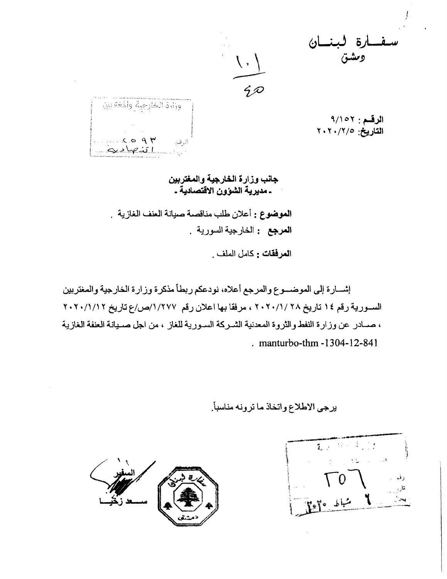Õ,



وزأاة الخارجية والمغة بين  $\forall p \alpha.2$ الرفع  $W = 2.1$ 

الرقم: ٩/١٥٢ التاريخ: ٢٠٢٠/٢/٢

جانب وزارة الخارجية والمغتربين ـ مديرية الشوون الاقتصادية ـ

الموضوع : أعلان طلب مناقصة صيانة العنف الغازية . ا**لمرجع :** الخارجية السورية .

ا**لمرفقات :** كامل الملف .

إشسارة إلى الموضىوع والمرجع أعلاه، نودعكم ربطاً مذكرة وزارة الخارجية والمغتربين السورية رقم ١٤ تاريخ ٢٠٢٠/١/ ٢٠٢٠/١، مرفقا بها اعلان رقم ١/٢٧٧/ص/ع تاريخ ٢٠٢٠/١/١٢ ، صسادر عن وزارة النفط والثروة المعدنية الشيركة السبورية للغاز ، من اجل صبيانة العنفة الغازية . manturbo-thm -1304-12-841

يرجى الاطلاع واتخاذ ما ترونه مناسباً.

1. 1984年 شباط والمجابية  $\mathcal{L}$ 

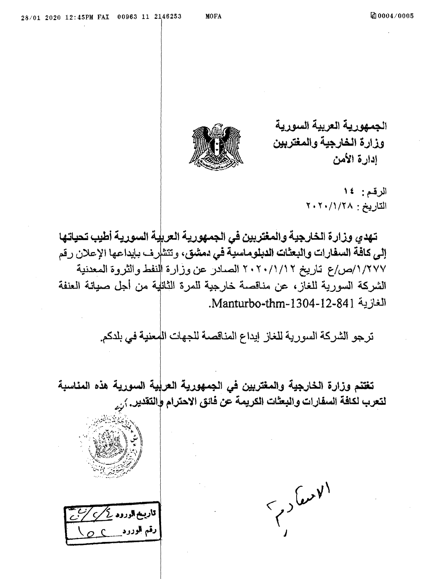الجمهورية العربية السورية وزارة الخارجية والمغتربين ادارة الأمن



الرقم: ١٤ التاريخ: ٢٠/١/٢٨

تنهدي وزارة الخارجية والمغتربين في الجمهورية العريية السورية أطيب تحياتها إلى كافحة السفارات والبعثات الدبلوماسية في دمشق، وتتشرف بإيداعها الإعلان رقم ١/٢٧٧/ص/ع تاريخ ٢٠/١/١/٢ ٢٠٢ الصادر عن وزارة النفط والثروة المعدنية الشركة السورية للغاز، عن مناقصة خارجية للمرة الثانلية من أجل صيانة العنفة الغازية Manturbo-thm-1304-12-841.

ترجو الشركة السورية للغاز إيداع المناقصة للجهات المعنية في بلدكم.

تغتنم وزارة الخارجية والمغتربين في الجمهورية العرلية السورية هذه المناسبة لتعرب لكافة السفارات والبعثات الكريمة عن فانق الاحترام والتقدير. <sub>أرم</sub>



| قاریخ الورود کے *ک* 

 $\left\{ \text{c}^{\prime}\right\}$